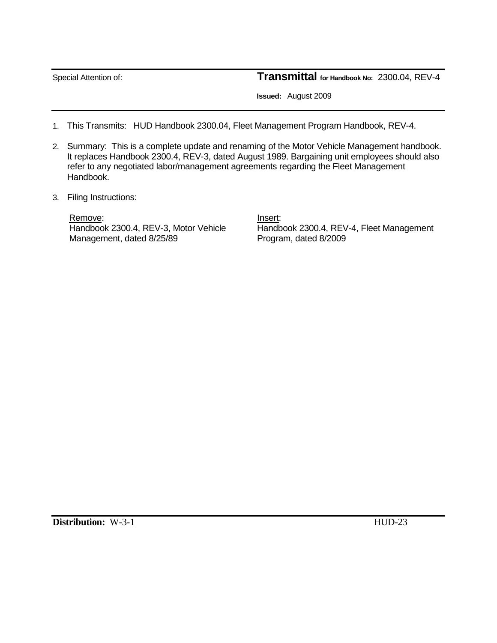Special Attention of: **Transmittal for Handbook No:** 2300.04, REV-4

 **Issued:** August 2009

- 1. This Transmits: HUD Handbook 2300.04, Fleet Management Program Handbook, REV-4.
- 2. Summary: This is a complete update and renaming of the Motor Vehicle Management handbook. It replaces Handbook 2300.4, REV-3, dated August 1989. Bargaining unit employees should also refer to any negotiated labor/management agreements regarding the Fleet Management Handbook.
- 3. Filing Instructions:

Remove: Note and the set of the set of the set of the set of the set of the set of the set of the set of the set of the set of the set of the set of the set of the set of the set of the set of the set of the set of the set Management, dated 8/25/89 Program, dated 8/2009

Handbook 2300.4, REV-3, Motor Vehicle Handbook 2300.4, REV-4, Fleet Management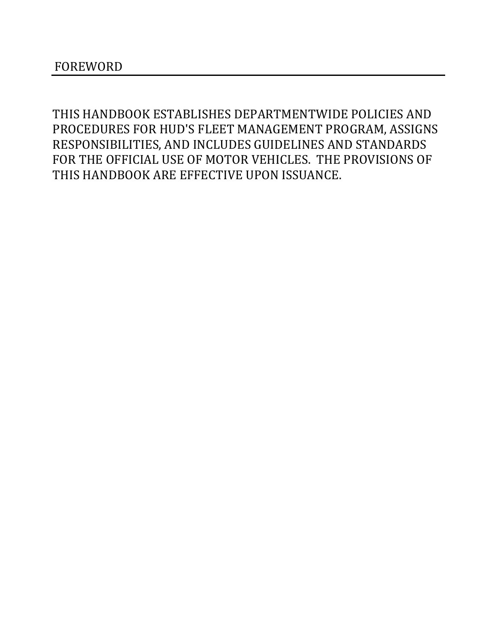THIS HANDBOOK ESTABLISHES DEPARTMENTWIDE POLICIES AND PROCEDURES FOR HUD'S FLEET MANAGEMENT PROGRAM, ASSIGNS RESPONSIBILITIES, AND INCLUDES GUIDELINES AND STANDARDS FOR THE OFFICIAL USE OF MOTOR VEHICLES. THE PROVISIONS OF THIS HANDBOOK ARE EFFECTIVE UPON ISSUANCE.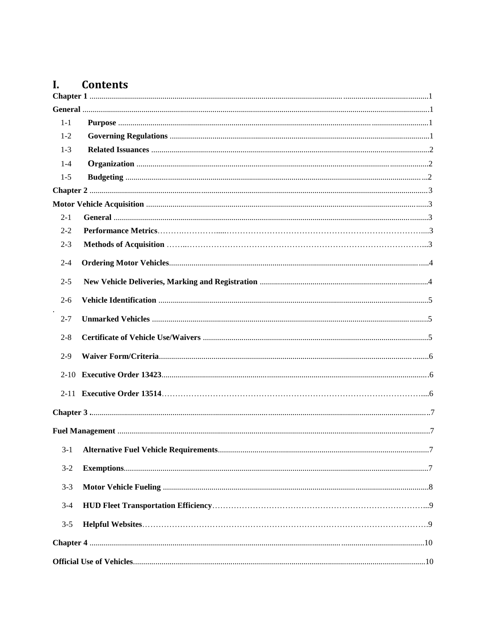#### Contents  $\mathbf{L}$

| $1-1$   |  |
|---------|--|
| $1 - 2$ |  |
| $1-3$   |  |
| $1 - 4$ |  |
| $1-5$   |  |
|         |  |
|         |  |
| $2 - 1$ |  |
| $2 - 2$ |  |
| $2 - 3$ |  |
| $2 - 4$ |  |
| $2 - 5$ |  |
| $2 - 6$ |  |
| $2 - 7$ |  |
| $2 - 8$ |  |
| $2-9$   |  |
|         |  |
|         |  |
|         |  |
|         |  |
| $3-1$   |  |
| $3-2$   |  |
| $3-3$   |  |
| $3-4$   |  |
| $3 - 5$ |  |
|         |  |
|         |  |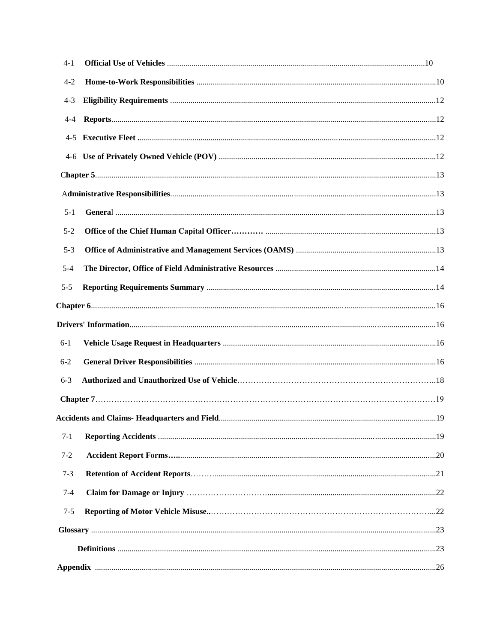| $4-1$   |  |
|---------|--|
| $4 - 2$ |  |
| $4 - 3$ |  |
| 4-4     |  |
|         |  |
|         |  |
|         |  |
|         |  |
| $5 - 1$ |  |
| $5 - 2$ |  |
| $5 - 3$ |  |
| $5 - 4$ |  |
| $5 - 5$ |  |
|         |  |
|         |  |
| $6-1$   |  |
| $6 - 2$ |  |
| $6 - 3$ |  |
|         |  |
|         |  |
| $7-1$   |  |
| $7 - 2$ |  |
| $7 - 3$ |  |
| $7 - 4$ |  |
| $7 - 5$ |  |
|         |  |
|         |  |
|         |  |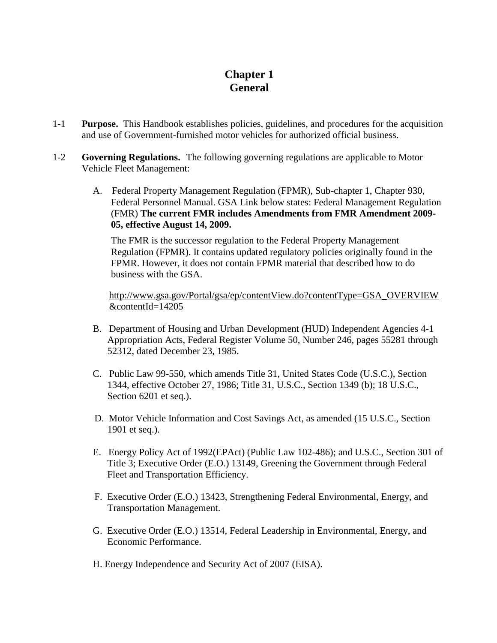# **Chapter 1 General**

- <span id="page-4-2"></span><span id="page-4-1"></span><span id="page-4-0"></span>1-1 **Purpose.** This Handbook establishes policies, guidelines, and procedures for the acquisition and use of Government-furnished motor vehicles for authorized official business.
- <span id="page-4-3"></span>1-2 **Governing Regulations.** The following governing regulations are applicable to Motor Vehicle Fleet Management:
	- A. Federal Property Management Regulation (FPMR), Sub-chapter 1, Chapter 930, Federal Personnel Manual. GSA Link below states: Federal Management Regulation (FMR) **The current FMR includes Amendments from FMR Amendment 2009- 05, effective August 14, 2009.**

The FMR is the successor regulation to the Federal Property Management Regulation (FPMR). It contains updated regulatory policies originally found in the FPMR. However, it does not contain FPMR material that described how to do business with the GSA.

[http://www.gsa.gov/Portal/gsa/ep/contentView.do?contentType=GSA\\_OVERVIEW](http://www.gsa.gov/Portal/gsa/ep/contentView.do?contentType=GSA_OVERVIEW&contentId=14205) [&contentId=14205](http://www.gsa.gov/Portal/gsa/ep/contentView.do?contentType=GSA_OVERVIEW&contentId=14205)

- B. Department of Housing and Urban Development (HUD) Independent Agencies 4-1 Appropriation Acts, Federal Register Volume 50, Number 246, pages 55281 through 52312, dated December 23, 1985.
- C. Public Law 99-550, which amends Title 31, United States Code (U.S.C.), Section 1344, effective October 27, 1986; Title 31, U.S.C., Section 1349 (b); 18 U.S.C., Section 6201 et seq.).
- D. Motor Vehicle Information and Cost Savings Act, as amended (15 U.S.C., Section 1901 et seq.).
- E. Energy Policy Act of 1992(EPAct) (Public Law 102-486); and U.S.C., Section 301 of Title 3; Executive Order (E.O.) 13149, Greening the Government through Federal Fleet and Transportation Efficiency.
- F. Executive Order (E.O.) 13423, Strengthening Federal Environmental, Energy, and Transportation Management.
- G. Executive Order (E.O.) 13514, Federal Leadership in Environmental, Energy, and Economic Performance.
- H. Energy Independence and Security Act of 2007 (EISA).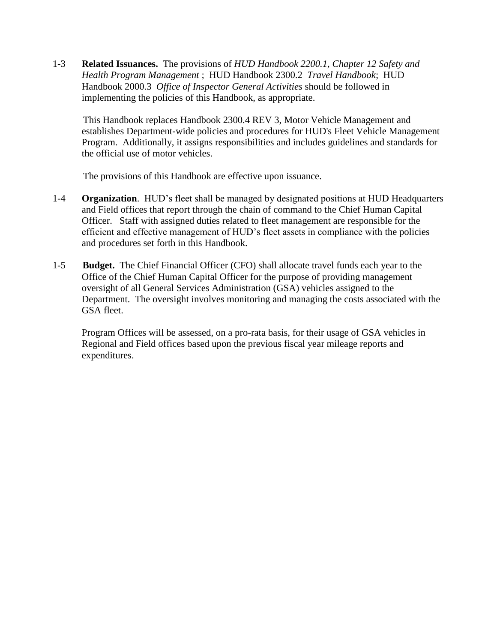<span id="page-5-0"></span>1-3 **Related Issuances.** The provisions of *[HUD Handbook 2200.1, Chapter 12 Safety and](http://www.hud.gov/offices/adm/hudclips/handbooks/admh/791.1/index.cfm)  [Health Program Management](http://www.hud.gov/offices/adm/hudclips/handbooks/admh/791.1/index.cfm)* ; [HUD Handbook 2300.2](http://www.hud.gov/offices/adm/hudclips/handbooks/admh/2300.2/index.cfm) *Travel Handbook*; [HUD](http://www.hud.gov/offices/adm/hudclips/handbooks/oigh/20003/index.cfm)  [Handbook 2000.3](http://www.hud.gov/offices/adm/hudclips/handbooks/oigh/20003/index.cfm) *Office of Inspector General Activities* should be followed in implementing the policies of this Handbook, as appropriate.

 This Handbook replaces Handbook 2300.4 REV 3, Motor Vehicle Management and establishes Department-wide policies and procedures for HUD's Fleet Vehicle Management Program. Additionally, it assigns responsibilities and includes guidelines and standards for the official use of motor vehicles.

The provisions of this Handbook are effective upon issuance.

- <span id="page-5-1"></span>1-4 **Organization**. HUD's fleet shall be managed by designated positions at HUD Headquarters and Field offices that report through the chain of command to the Chief Human Capital Officer. Staff with assigned duties related to fleet management are responsible for the efficient and effective management of HUD's fleet assets in compliance with the policies and procedures set forth in this Handbook.
- <span id="page-5-2"></span>1-5 **Budget.** The Chief Financial Officer (CFO) shall allocate travel funds each year to the Office of the Chief Human Capital Officer for the purpose of providing management oversight of all General Services Administration (GSA) vehicles assigned to the Department. The oversight involves monitoring and managing the costs associated with the GSA fleet.

Program Offices will be assessed, on a pro-rata basis, for their usage of GSA vehicles in Regional and Field offices based upon the previous fiscal year mileage reports and expenditures.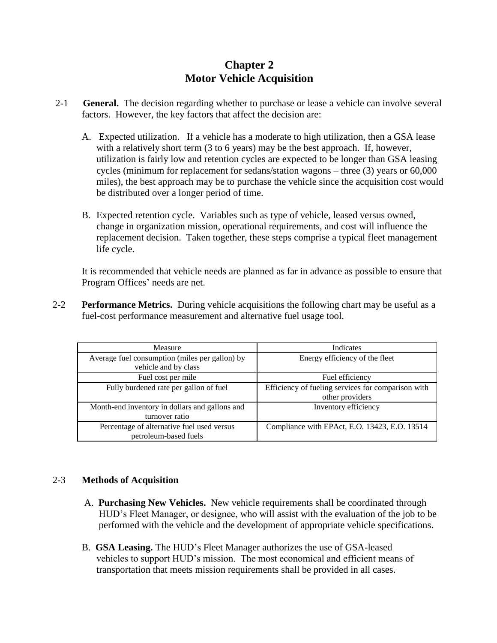# **Chapter 2 Motor Vehicle Acquisition**

- <span id="page-6-1"></span><span id="page-6-0"></span>2-1 **General.** The decision regarding whether to purchase or lease a vehicle can involve several factors. However, the key factors that affect the decision are:
	- A. Expected utilization. If a vehicle has a moderate to high utilization, then a GSA lease with a relatively short term (3 to 6 years) may be the best approach. If, however, utilization is fairly low and retention cycles are expected to be longer than GSA leasing cycles (minimum for replacement for sedans/station wagons – three (3) years or 60,000 miles), the best approach may be to purchase the vehicle since the acquisition cost would be distributed over a longer period of time.
	- B. Expected retention cycle. Variables such as type of vehicle, leased versus owned, change in organization mission, operational requirements, and cost will influence the replacement decision. Taken together, these steps comprise a typical fleet management life cycle.

It is recommended that vehicle needs are planned as far in advance as possible to ensure that Program Offices' needs are net.

2-2 **Performance Metrics.** During vehicle acquisitions the following chart may be useful as a fuel-cost performance measurement and alternative fuel usage tool.

| Measure                                                                | Indicates                                                             |
|------------------------------------------------------------------------|-----------------------------------------------------------------------|
| Average fuel consumption (miles per gallon) by<br>vehicle and by class | Energy efficiency of the fleet                                        |
| Fuel cost per mile                                                     | Fuel efficiency                                                       |
| Fully burdened rate per gallon of fuel                                 | Efficiency of fueling services for comparison with<br>other providers |
| Month-end inventory in dollars and gallons and<br>turnover ratio       | Inventory efficiency                                                  |
| Percentage of alternative fuel used versus<br>petroleum-based fuels    | Compliance with EPAct, E.O. 13423, E.O. 13514                         |

### 2-3 **Methods of Acquisition**

- A. **Purchasing New Vehicles.** New vehicle requirements shall be coordinated through HUD's Fleet Manager, or designee, who will assist with the evaluation of the job to be performed with the vehicle and the development of appropriate vehicle specifications.
- B. **GSA Leasing.** The HUD's Fleet Manager authorizes the use of GSA-leased vehicles to support HUD's mission. The most economical and efficient means of transportation that meets mission requirements shall be provided in all cases.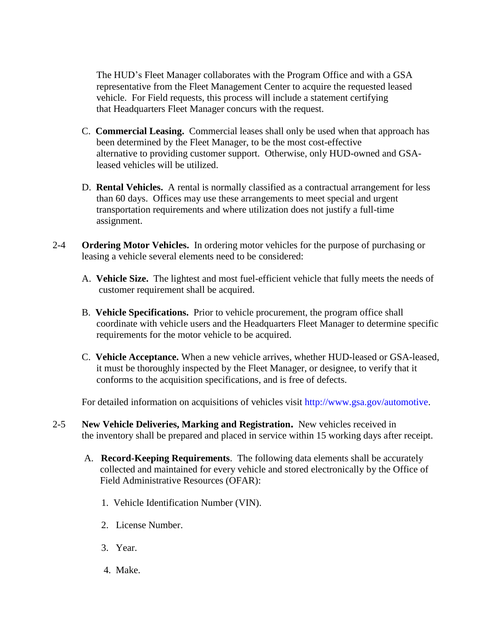The HUD's Fleet Manager collaborates with the Program Office and with a GSA representative from the Fleet Management Center to acquire the requested leased vehicle. For Field requests, this process will include a statement certifying that Headquarters Fleet Manager concurs with the request.

- C. **Commercial Leasing.** Commercial leases shall only be used when that approach has been determined by the Fleet Manager, to be the most cost-effective alternative to providing customer support. Otherwise, only HUD-owned and GSA leased vehicles will be utilized.
- D. **Rental Vehicles.** A rental is normally classified as a contractual arrangement for less than 60 days. Offices may use these arrangements to meet special and urgent transportation requirements and where utilization does not justify a full-time assignment.
- 2-4 **Ordering Motor Vehicles.** In ordering motor vehicles for the purpose of purchasing or leasing a vehicle several elements need to be considered:
	- A. **Vehicle Size.** The lightest and most fuel-efficient vehicle that fully meets the needs of customer requirement shall be acquired.
	- B. **Vehicle Specifications.** Prior to vehicle procurement, the program office shall coordinate with vehicle users and the Headquarters Fleet Manager to determine specific requirements for the motor vehicle to be acquired.
	- C. **Vehicle Acceptance.** When a new vehicle arrives, whether HUD-leased or GSA-leased, it must be thoroughly inspected by the Fleet Manager, or designee, to verify that it conforms to the acquisition specifications, and is free of defects.

For detailed information on acquisitions of vehicles visit [http://www.gsa.gov/automotive.](http://www.gsa.gov/automotive)

- 2-5 **New Vehicle Deliveries, Marking and Registration.** New vehicles received in the inventory shall be prepared and placed in service within 15 working days after receipt.
	- A. **Record-Keeping Requirements**. The following data elements shall be accurately collected and maintained for every vehicle and stored electronically by the Office of Field Administrative Resources (OFAR):
		- 1. Vehicle Identification Number (VIN).
		- 2. License Number.
		- 3. Year.
		- 4. Make.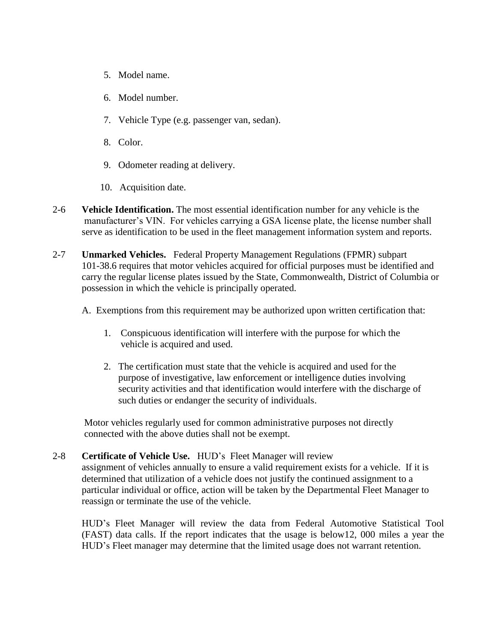- 5. Model name.
- 6. Model number.
- 7. Vehicle Type (e.g. passenger van, sedan).
- 8. Color.
- 9. Odometer reading at delivery.
- 10. Acquisition date.
- 2-6 **Vehicle Identification.** The most essential identification number for any vehicle is the manufacturer's VIN. For vehicles carrying a GSA license plate, the license number shall serve as identification to be used in the fleet management information system and reports.
- 2-7 **Unmarked Vehicles.** Federal Property Management Regulations (FPMR) subpart 101-38.6 requires that motor vehicles acquired for official purposes must be identified and carry the regular license plates issued by the State, Commonwealth, District of Columbia or possession in which the vehicle is principally operated.
	- A. Exemptions from this requirement may be authorized upon written certification that:
		- 1. Conspicuous identification will interfere with the purpose for which the vehicle is acquired and used.
		- 2. The certification must state that the vehicle is acquired and used for the purpose of investigative, law enforcement or intelligence duties involving security activities and that identification would interfere with the discharge of such duties or endanger the security of individuals.

Motor vehicles regularly used for common administrative purposes not directly connected with the above duties shall not be exempt.

2-8 **Certificate of Vehicle Use.** HUD's Fleet Manager will review

assignment of vehicles annually to ensure a valid requirement exists for a vehicle. If it is determined that utilization of a vehicle does not justify the continued assignment to a particular individual or office, action will be taken by the Departmental Fleet Manager to reassign or terminate the use of the vehicle.

HUD's Fleet Manager will review the data from Federal Automotive Statistical Tool (FAST) data calls. If the report indicates that the usage is below12, 000 miles a year the HUD's Fleet manager may determine that the limited usage does not warrant retention.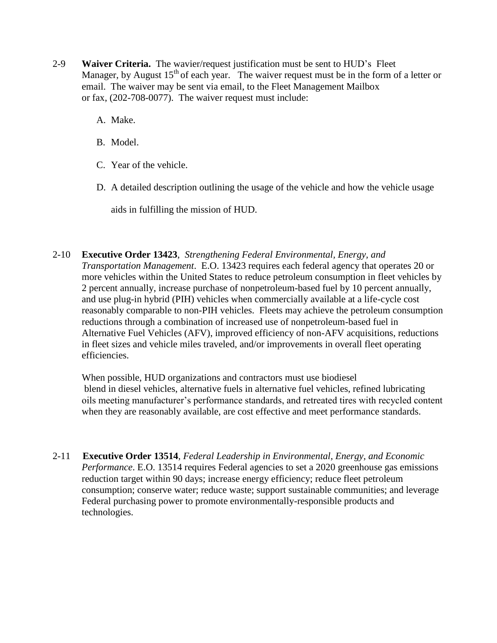- 2-9 **Waiver Criteria.** The wavier/request justification must be sent to HUD's Fleet Manager, by August  $15<sup>th</sup>$  of each year. The waiver request must be in the form of a letter or email. The waiver may be sent via email, to the Fleet Management Mailbox or fax, (202-708-0077). The waiver request must include:
	- A. Make.
	- B. Model.
	- C. Year of the vehicle.
	- D. A detailed description outlining the usage of the vehicle and how the vehicle usage

aids in fulfilling the mission of HUD.

2-10 **Executive Order 13423**, *Strengthening Federal Environmental, Energy, and Transportation Management*. E.O. 13423 requires each federal agency that operates 20 or more vehicles within the United States to reduce petroleum consumption in fleet vehicles by 2 percent annually, increase purchase of nonpetroleum-based fuel by 10 percent annually, and use plug-in hybrid (PIH) vehicles when commercially available at a life-cycle cost reasonably comparable to non-PIH vehicles. Fleets may achieve the petroleum consumption reductions through a combination of increased use of nonpetroleum-based fuel in Alternative Fuel Vehicles (AFV), improved efficiency of non-AFV acquisitions, reductions in fleet sizes and vehicle miles traveled, and/or improvements in overall fleet operating efficiencies.

When possible, HUD organizations and contractors must use biodiesel blend in diesel vehicles, alternative fuels in alternative fuel vehicles, refined lubricating oils meeting manufacturer's performance standards, and retreated tires with recycled content when they are reasonably available, are cost effective and meet performance standards.

2-11 **Executive Order 13514**, *Federal Leadership in Environmental, Energy, and Economic Performance*. E.O. 13514 requires Federal agencies to set a 2020 greenhouse gas emissions reduction target within 90 days; increase energy efficiency; reduce fleet petroleum consumption; conserve water; reduce waste; support sustainable communities; and leverage Federal purchasing power to promote environmentally-responsible products and technologies.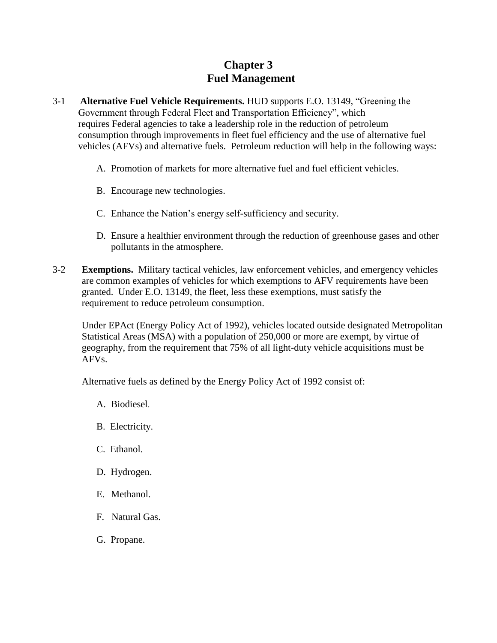# **Chapter 3 Fuel Management**

- 3-1 **Alternative Fuel Vehicle Requirements.** HUD supports E.O. 13149, "Greening the Government through Federal Fleet and Transportation Efficiency", which requires Federal agencies to take a leadership role in the reduction of petroleum consumption through improvements in fleet fuel efficiency and the use of alternative fuel vehicles (AFVs) and alternative fuels. Petroleum reduction will help in the following ways:
	- A. Promotion of markets for more alternative fuel and fuel efficient vehicles.
	- B. Encourage new technologies.
	- C. Enhance the Nation's energy self-sufficiency and security.
	- D. Ensure a healthier environment through the reduction of greenhouse gases and other pollutants in the atmosphere.
- 3-2 **Exemptions.** Military tactical vehicles, law enforcement vehicles, and emergency vehicles are common examples of vehicles for which exemptions to AFV requirements have been granted. Under E.O. 13149, the fleet, less these exemptions, must satisfy the requirement to reduce petroleum consumption.

Under EPAct (Energy Policy Act of 1992), vehicles located outside designated Metropolitan Statistical Areas (MSA) with a population of 250,000 or more are exempt, by virtue of geography, from the requirement that 75% of all light-duty vehicle acquisitions must be AFVs.

Alternative fuels as defined by the Energy Policy Act of 1992 consist of:

- A. [Biodiesel](http://www.afdc.energy.gov/afdc/fuels/biodiesel.html).
- B. Electricity.
- C. Ethanol.
- D. Hydrogen.
- E. Methanol.
- F. Natural Gas.
- G. Propane.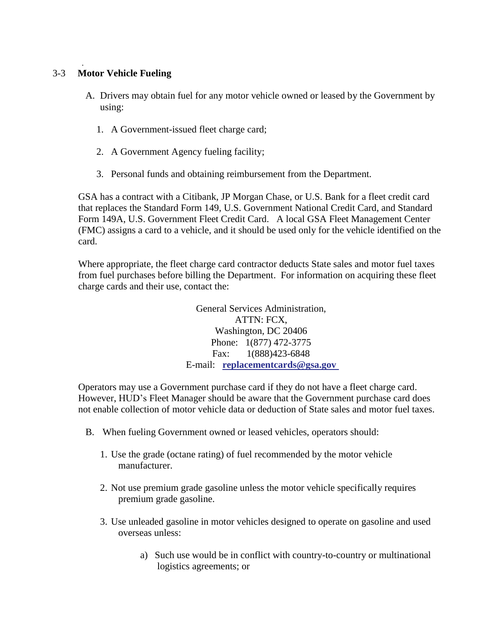### 3-3 **Motor Vehicle Fueling**

.

- A. Drivers may obtain fuel for any motor vehicle owned or leased by the Government by using:
	- 1. A Government-issued fleet charge card;
	- 2. A Government Agency fueling facility;
	- 3. Personal funds and obtaining reimbursement from the Department.

GSA has a contract with a Citibank, JP Morgan Chase, or U.S. Bank for a fleet credit card that replaces the Standard Form 149, U.S. Government National Credit Card, and Standard Form 149A, U.S. Government Fleet Credit Card. A local GSA Fleet Management Center (FMC) assigns a card to a vehicle, and it should be used only for the vehicle identified on the card.

Where appropriate, the fleet charge card contractor deducts State sales and motor fuel taxes from fuel purchases before billing the Department. For information on acquiring these fleet charge cards and their use, contact the:

> General Services Administration, ATTN: FCX, Washington, DC 20406 Phone: 1(877) 472-3775 Fax: 1(888)423-6848 E-mail: **[replacementcards@gsa.gov](mailto:replacementcards@gsa.gov)**

Operators may use a Government purchase card if they do not have a fleet charge card. However, HUD's Fleet Manager should be aware that the Government purchase card does not enable collection of motor vehicle data or deduction of State sales and motor fuel taxes.

- B. When fueling Government owned or leased vehicles, operators should:
	- 1. Use the grade (octane rating) of fuel recommended by the motor vehicle manufacturer.
	- 2. Not use premium grade gasoline unless the motor vehicle specifically requires premium grade gasoline.
	- 3. Use unleaded gasoline in motor vehicles designed to operate on gasoline and used overseas unless:
		- a) Such use would be in conflict with country-to-country or multinational logistics agreements; or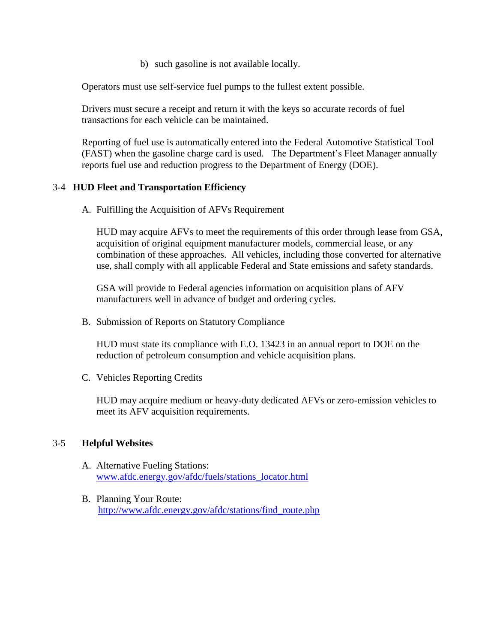b) such gasoline is not available locally.

Operators must use self-service fuel pumps to the fullest extent possible.

Drivers must secure a receipt and return it with the keys so accurate records of fuel transactions for each vehicle can be maintained.

Reporting of fuel use is automatically entered into the Federal Automotive Statistical Tool (FAST) when the gasoline charge card is used. The Department's Fleet Manager annually reports fuel use and reduction progress to the Department of Energy (DOE).

#### 3-4 **HUD Fleet and Transportation Efficiency**

A. Fulfilling the Acquisition of AFVs Requirement

HUD may acquire AFVs to meet the requirements of this order through lease from GSA, acquisition of original equipment manufacturer models, commercial lease, or any combination of these approaches. All vehicles, including those converted for alternative use, shall comply with all applicable Federal and State emissions and safety standards.

GSA will provide to Federal agencies information on acquisition plans of AFV manufacturers well in advance of budget and ordering cycles.

B. Submission of Reports on Statutory Compliance

HUD must state its compliance with E.O. 13423 in an annual report to DOE on the reduction of petroleum consumption and vehicle acquisition plans.

C. Vehicles Reporting Credits

HUD may acquire medium or heavy-duty dedicated AFVs or zero-emission vehicles to meet its AFV acquisition requirements.

#### 3-5 **Helpful Websites**

- A. Alternative Fueling Stations: [www.afdc.energy.gov/afdc/fuels/stations\\_locator.html](http://www.afdc.energy.gov/afdc/fuels/stations_locator.html)
- B. Planning Your Route: [http://www.afdc.energy.gov/afdc/stations/find\\_route.php](http://www.afdc.energy.gov/afdc/stations/find_route.php)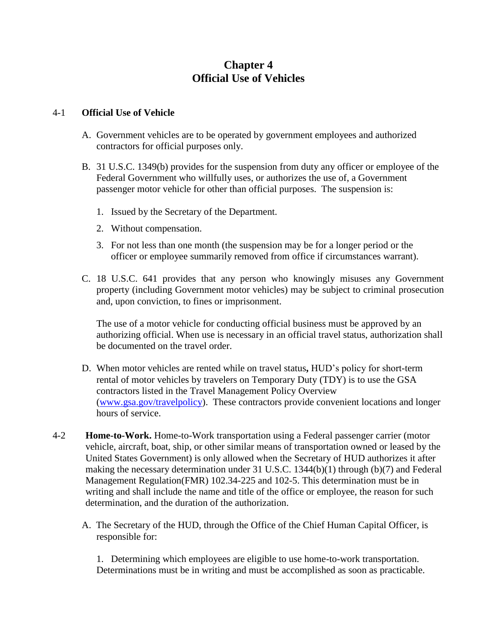# **Chapter 4 Official Use of Vehicles**

#### 4-1 **Official Use of Vehicle**

- A. Government vehicles are to be operated by government employees and authorized contractors for official purposes only.
- B. 31 U.S.C. 1349(b) provides for the suspension from duty any officer or employee of the Federal Government who willfully uses, or authorizes the use of, a Government passenger motor vehicle for other than official purposes. The suspension is:
	- 1. Issued by the Secretary of the Department.
	- 2. Without compensation.
	- 3. For not less than one month (the suspension may be for a longer period or the officer or employee summarily removed from office if circumstances warrant).
- C. 18 U.S.C. 641 provides that any person who knowingly misuses any Government property (including Government motor vehicles) may be subject to criminal prosecution and, upon conviction, to fines or imprisonment.

The use of a motor vehicle for conducting official business must be approved by an authorizing official. When use is necessary in an official travel status, authorization shall be documented on the travel order.

- D. When motor vehicles are rented while on travel status**,** HUD's policy for short-term rental of motor vehicles by travelers on Temporary Duty (TDY) is to use the GSA contractors listed in the Travel Management Policy Overview [\(www.gsa.gov/travelpolicy\)](http://www.gsa.gov/travelpolicy). These contractors provide convenient locations and longer hours of service.
- 4-2 **Home-to-Work.** Home-to-Work transportation using a Federal passenger carrier (motor vehicle, aircraft, boat, ship, or other similar means of transportation owned or leased by the United States Government) is only allowed when the Secretary of HUD authorizes it after making the necessary determination under 31 U.S.C. 1344(b)(1) through (b)(7) and Federal Management Regulation(FMR) 102.34-225 and 102-5. This determination must be in writing and shall include the name and title of the office or employee, the reason for such determination, and the duration of the authorization.
	- A. The Secretary of the HUD, through the Office of the Chief Human Capital Officer, is responsible for:

1. Determining which employees are eligible to use home-to-work transportation. Determinations must be in writing and must be accomplished as soon as practicable.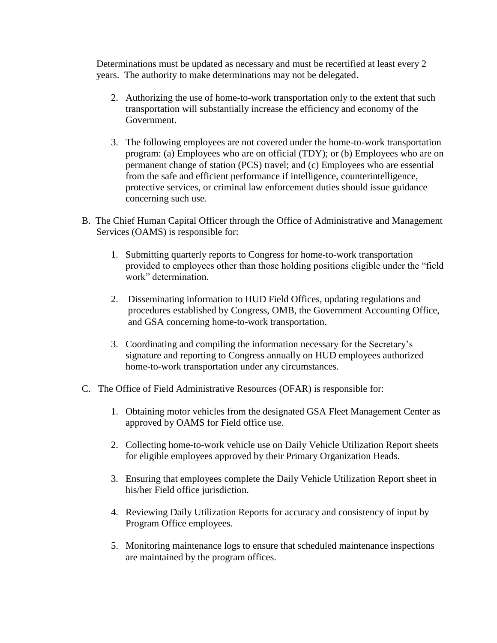Determinations must be updated as necessary and must be recertified at least every 2 years. The authority to make determinations may not be delegated.

- 2. Authorizing the use of home-to-work transportation only to the extent that such transportation will substantially increase the efficiency and economy of the Government.
- 3. The following employees are not covered under the home-to-work transportation program: (a) Employees who are on official (TDY); or (b) Employees who are on permanent change of station (PCS) travel; and (c) Employees who are essential from the safe and efficient performance if intelligence, counterintelligence, protective services, or criminal law enforcement duties should issue guidance concerning such use.
- B. The Chief Human Capital Officer through the Office of Administrative and Management Services (OAMS) is responsible for:
	- 1. Submitting quarterly reports to Congress for home-to-work transportation provided to employees other than those holding positions eligible under the "field work" determination.
	- 2. Disseminating information to HUD Field Offices, updating regulations and procedures established by Congress, OMB, the Government Accounting Office, and GSA concerning home-to-work transportation.
	- 3. Coordinating and compiling the information necessary for the Secretary's signature and reporting to Congress annually on HUD employees authorized home-to-work transportation under any circumstances.
- C. The Office of Field Administrative Resources (OFAR) is responsible for:
	- 1. Obtaining motor vehicles from the designated GSA Fleet Management Center as approved by OAMS for Field office use.
	- 2. Collecting home-to-work vehicle use on Daily Vehicle Utilization Report sheets for eligible employees approved by their Primary Organization Heads.
	- 3. Ensuring that employees complete the Daily Vehicle Utilization Report sheet in his/her Field office jurisdiction.
	- 4. Reviewing Daily Utilization Reports for accuracy and consistency of input by Program Office employees.
	- 5. Monitoring maintenance logs to ensure that scheduled maintenance inspections are maintained by the program offices.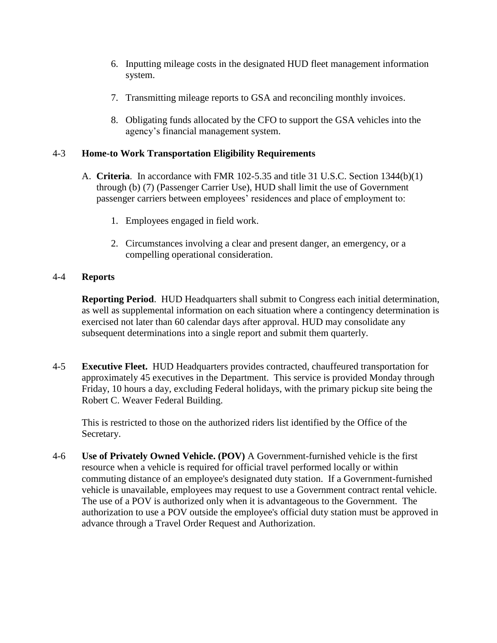- 6. Inputting mileage costs in the designated HUD fleet management information system.
- 7. Transmitting mileage reports to GSA and reconciling monthly invoices.
- 8. Obligating funds allocated by the CFO to support the GSA vehicles into the agency's financial management system.

### 4-3 **Home-to Work Transportation Eligibility Requirements**

- A. **Criteria**. In accordance with FMR 102-5.35 and title 31 U.S.C. Section 1344(b)(1) through (b) (7) (Passenger Carrier Use), HUD shall limit the use of Government passenger carriers between employees' residences and place of employment to:
	- 1. Employees engaged in field work.
	- 2. Circumstances involving a clear and present danger, an emergency, or a compelling operational consideration.

### 4-4 **Reports**

**Reporting Period**. HUD Headquarters shall submit to Congress each initial determination, as well as supplemental information on each situation where a contingency determination is exercised not later than 60 calendar days after approval. HUD may consolidate any subsequent determinations into a single report and submit them quarterly.

4-5 **Executive Fleet.** HUD Headquarters provides contracted, chauffeured transportation for approximately 45 executives in the Department. This service is provided Monday through Friday, 10 hours a day, excluding Federal holidays, with the primary pickup site being the Robert C. Weaver Federal Building.

This is restricted to those on the authorized riders list identified by the Office of the Secretary.

4-6 **Use of Privately Owned Vehicle. (POV)** A Government-furnished vehicle is the first resource when a vehicle is required for official travel performed locally or within commuting distance of an employee's designated duty station. If a Government-furnished vehicle is unavailable, employees may request to use a Government contract rental vehicle. The use of a POV is authorized only when it is advantageous to the Government. The authorization to use a POV outside the employee's official duty station must be approved in advance through a Travel Order Request and Authorization.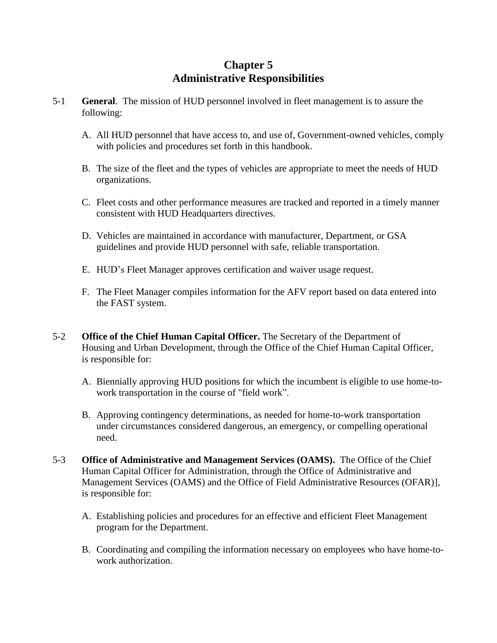# **Chapter 5 Administrative Responsibilities**

- 5-1 **General**. The mission of HUD personnel involved in fleet management is to assure the following:
	- A. All HUD personnel that have access to, and use of, Government-owned vehicles, comply with policies and procedures set forth in this handbook.
	- B. The size of the fleet and the types of vehicles are appropriate to meet the needs of HUD organizations.
	- C. Fleet costs and other performance measures are tracked and reported in a timely manner consistent with HUD Headquarters directives.
	- D. Vehicles are maintained in accordance with manufacturer, Department, or GSA guidelines and provide HUD personnel with safe, reliable transportation.
	- E. HUD's Fleet Manager approves certification and waiver usage request.
	- F. The Fleet Manager compiles information for the AFV report based on data entered into the FAST system.
- 5-2 **Office of the Chief Human Capital Officer.** The Secretary of the Department of Housing and Urban Development, through the Office of the Chief Human Capital Officer, is responsible for:
	- A. Biennially approving HUD positions for which the incumbent is eligible to use home-towork transportation in the course of "field work".
	- B. Approving contingency determinations, as needed for home-to-work transportation under circumstances considered dangerous, an emergency, or compelling operational need.
- 5-3 **Office of Administrative and Management Services (OAMS).** The Office of the Chief Human Capital Officer for Administration, through the Office of Administrative and Management Services (OAMS) and the Office of Field Administrative Resources (OFAR)], is responsible for:
	- A. Establishing policies and procedures for an effective and efficient Fleet Management program for the Department.
	- B. Coordinating and compiling the information necessary on employees who have home-towork authorization.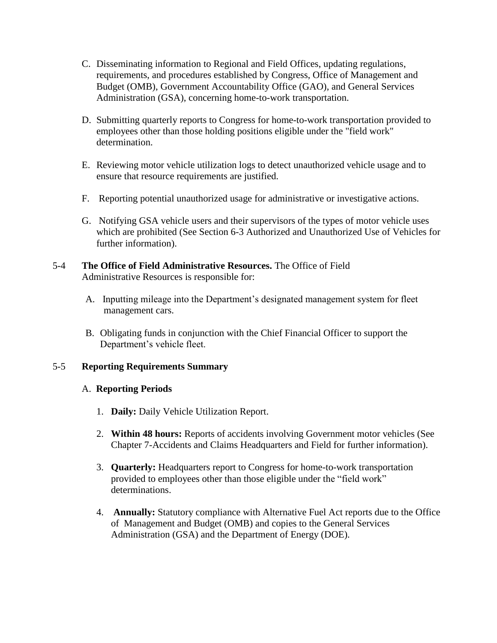- C. Disseminating information to Regional and Field Offices, updating regulations, requirements, and procedures established by Congress, Office of Management and Budget (OMB), Government Accountability Office (GAO), and General Services Administration (GSA), concerning home-to-work transportation.
- D. Submitting quarterly reports to Congress for home-to-work transportation provided to employees other than those holding positions eligible under the "field work" determination.
- E. Reviewing motor vehicle utilization logs to detect unauthorized vehicle usage and to ensure that resource requirements are justified.
- F. Reporting potential unauthorized usage for administrative or investigative actions.
- G. Notifying GSA vehicle users and their supervisors of the types of motor vehicle uses which are prohibited (See Section 6-3 Authorized and Unauthorized Use of Vehicles for further information).

### 5-4 **The Office of Field Administrative Resources.** The Office of Field Administrative Resources is responsible for:

- A. Inputting mileage into the Department's designated management system for fleet management cars.
- B. Obligating funds in conjunction with the Chief Financial Officer to support the Department's vehicle fleet.

### 5-5 **Reporting Requirements Summary**

#### A. **Reporting Periods**

- 1. **Daily:** Daily Vehicle Utilization Report.
- 2. **Within 48 hours:** Reports of accidents involving Government motor vehicles (See Chapter 7-Accidents and Claims Headquarters and Field for further information).
- 3. **Quarterly:** Headquarters report to Congress for home-to-work transportation provided to employees other than those eligible under the "field work" determinations.
- 4. **Annually:** Statutory compliance with Alternative Fuel Act reports due to the Office of Management and Budget (OMB) and copies to the General Services Administration (GSA) and the Department of Energy (DOE).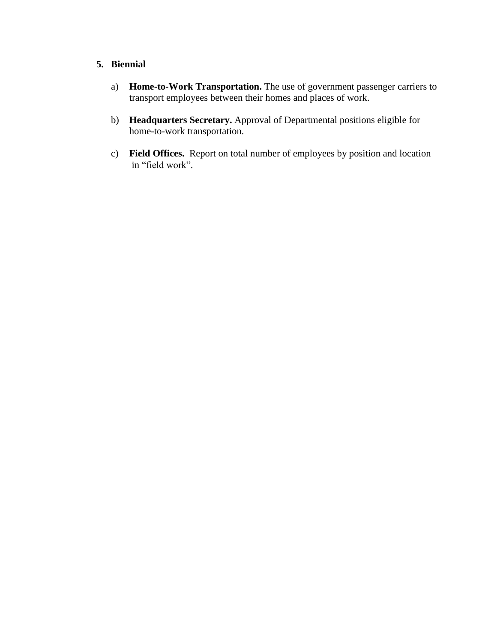### **5. Biennial**

- a) **Home-to-Work Transportation.** The use of government passenger carriers to transport employees between their homes and places of work.
- b) **Headquarters Secretary.** Approval of Departmental positions eligible for home-to-work transportation.
- c) **Field Offices.** Report on total number of employees by position and location in "field work".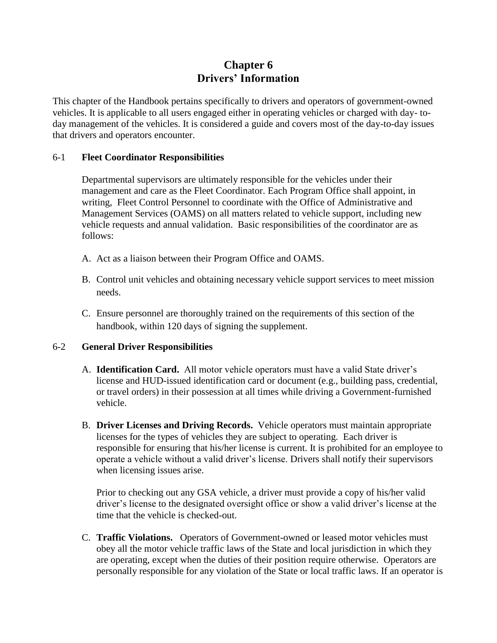# **Chapter 6 Drivers' Information**

This chapter of the Handbook pertains specifically to drivers and operators of government-owned vehicles. It is applicable to all users engaged either in operating vehicles or charged with day- today management of the vehicles. It is considered a guide and covers most of the day-to-day issues that drivers and operators encounter.

### 6-1 **Fleet Coordinator Responsibilities**

Departmental supervisors are ultimately responsible for the vehicles under their management and care as the Fleet Coordinator. Each Program Office shall appoint, in writing, Fleet Control Personnel to coordinate with the Office of Administrative and Management Services (OAMS) on all matters related to vehicle support, including new vehicle requests and annual validation. Basic responsibilities of the coordinator are as follows:

- A. Act as a liaison between their Program Office and OAMS.
- B. Control unit vehicles and obtaining necessary vehicle support services to meet mission needs.
- C. Ensure personnel are thoroughly trained on the requirements of this section of the handbook, within 120 days of signing the supplement.

### 6-2 **General Driver Responsibilities**

- A. **Identification Card.** All motor vehicle operators must have a valid State driver's license and HUD-issued identification card or document (e.g., building pass, credential, or travel orders) in their possession at all times while driving a Government-furnished vehicle.
- B. **Driver Licenses and Driving Records.** Vehicle operators must maintain appropriate licenses for the types of vehicles they are subject to operating. Each driver is responsible for ensuring that his/her license is current. It is prohibited for an employee to operate a vehicle without a valid driver's license. Drivers shall notify their supervisors when licensing issues arise.

Prior to checking out any GSA vehicle, a driver must provide a copy of his/her valid driver's license to the designated oversight office or show a valid driver's license at the time that the vehicle is checked-out.

C. **Traffic Violations.** Operators of Government-owned or leased motor vehicles must obey all the motor vehicle traffic laws of the State and local jurisdiction in which they are operating, except when the duties of their position require otherwise. Operators are personally responsible for any violation of the State or local traffic laws. If an operator is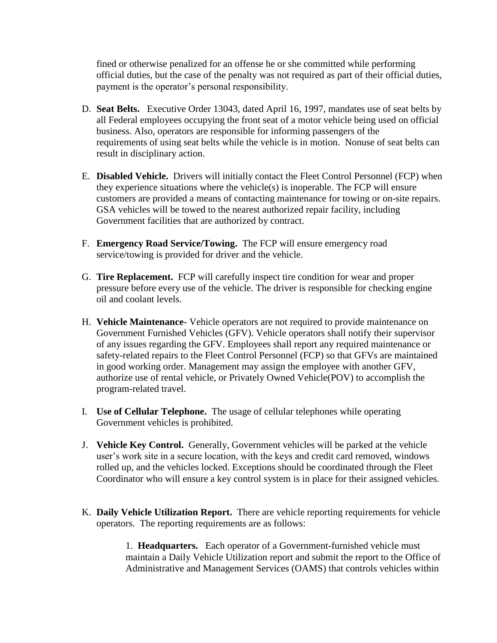fined or otherwise penalized for an offense he or she committed while performing official duties, but the case of the penalty was not required as part of their official duties, payment is the operator's personal responsibility.

- D. **Seat Belts.** Executive Order 13043, dated April 16, 1997, mandates use of seat belts by all Federal employees occupying the front seat of a motor vehicle being used on official business. Also, operators are responsible for informing passengers of the requirements of using seat belts while the vehicle is in motion. Nonuse of seat belts can result in disciplinary action.
- E. **Disabled Vehicle.** Drivers will initially contact the Fleet Control Personnel (FCP) when they experience situations where the vehicle(s) is inoperable. The FCP will ensure customers are provided a means of contacting maintenance for towing or on-site repairs. GSA vehicles will be towed to the nearest authorized repair facility, including Government facilities that are authorized by contract.
- F. **Emergency Road Service/Towing.** The FCP will ensure emergency road service/towing is provided for driver and the vehicle.
- G. **Tire Replacement.** FCP will carefully inspect tire condition for wear and proper pressure before every use of the vehicle. The driver is responsible for checking engine oil and coolant levels.
- H. **Vehicle Maintenance** Vehicle operators are not required to provide maintenance on Government Furnished Vehicles (GFV). Vehicle operators shall notify their supervisor of any issues regarding the GFV. Employees shall report any required maintenance or safety-related repairs to the Fleet Control Personnel (FCP) so that GFVs are maintained in good working order. Management may assign the employee with another GFV, authorize use of rental vehicle, or Privately Owned Vehicle(POV) to accomplish the program-related travel.
- I. **Use of Cellular Telephone.** The usage of cellular telephones while operating Government vehicles is prohibited.
- J. **Vehicle Key Control.** Generally, Government vehicles will be parked at the vehicle user's work site in a secure location, with the keys and credit card removed, windows rolled up, and the vehicles locked. Exceptions should be coordinated through the Fleet Coordinator who will ensure a key control system is in place for their assigned vehicles.
- K. **Daily Vehicle Utilization Report.** There are vehicle reporting requirements for vehicle operators. The reporting requirements are as follows:

1. **Headquarters.** Each operator of a Government-furnished vehicle must maintain a Daily Vehicle Utilization report and submit the report to the Office of Administrative and Management Services (OAMS) that controls vehicles within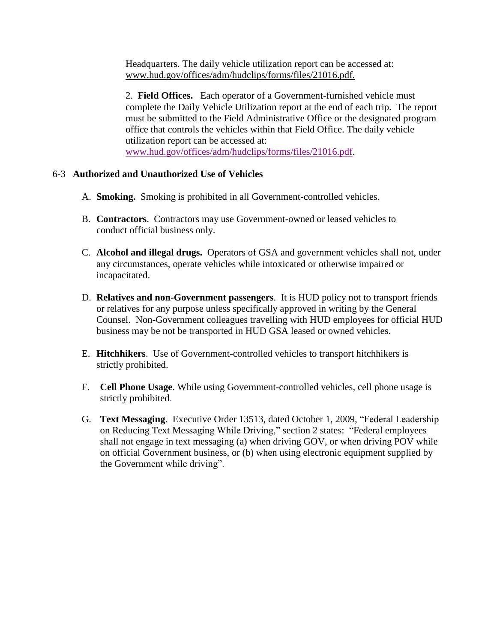Headquarters. The daily vehicle utilization report can be accessed at: [www.hud.gov/offices/adm/hudclips/forms/files/21016.pdf](http://www.hud.gov/offices/adm/hudclips/forms/files/21016.pdf).

2. **Field Offices.** Each operator of a Government-furnished vehicle must complete the Daily Vehicle Utilization report at the end of each trip. The report must be submitted to the Field Administrative Office or the designated program office that controls the vehicles within that Field Office. The daily vehicle utilization report can be accessed at: [www.hud.gov/offices/adm/hudclips/forms/files/21016.pdf.](http://www.hud.gov/offices/adm/hudclips/forms/files/21016.pdf)

### 6-3 **Authorized and Unauthorized Use of Vehicles**

- A. **Smoking.** Smoking is prohibited in all Government-controlled vehicles.
- B. **Contractors**. Contractors may use Government-owned or leased vehicles to conduct official business only.
- C. **Alcohol and illegal drugs.** Operators of GSA and government vehicles shall not, under any circumstances, operate vehicles while intoxicated or otherwise impaired or incapacitated.
- D. **Relatives and non-Government passengers**. It is HUD policy not to transport friends or relatives for any purpose unless specifically approved in writing by the General Counsel. Non-Government colleagues travelling with HUD employees for official HUD business may be not be transported in HUD GSA leased or owned vehicles.
- E. **Hitchhikers**. Use of Government-controlled vehicles to transport hitchhikers is strictly prohibited.
- F. **Cell Phone Usage**. While using Government-controlled vehicles, cell phone usage is strictly prohibited.
- G. **Text Messaging**. Executive Order 13513, dated October 1, 2009, "Federal Leadership on Reducing Text Messaging While Driving," section 2 states: "Federal employees shall not engage in text messaging (a) when driving GOV, or when driving POV while on official Government business, or (b) when using electronic equipment supplied by the Government while driving".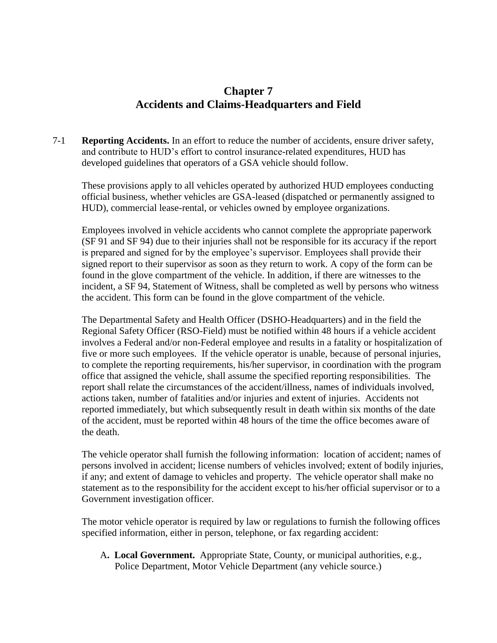# **Chapter 7 Accidents and Claims-Headquarters and Field**

7-1 **Reporting Accidents.** In an effort to reduce the number of accidents, ensure driver safety, and contribute to HUD's effort to control insurance-related expenditures, HUD has developed guidelines that operators of a GSA vehicle should follow.

These provisions apply to all vehicles operated by authorized HUD employees conducting official business, whether vehicles are GSA-leased (dispatched or permanently assigned to HUD), commercial lease-rental, or vehicles owned by employee organizations.

Employees involved in vehicle accidents who cannot complete the appropriate paperwork (SF 91 and SF 94) due to their injuries shall not be responsible for its accuracy if the report is prepared and signed for by the employee's supervisor. Employees shall provide their signed report to their supervisor as soon as they return to work. A copy of the form can be found in the glove compartment of the vehicle. In addition, if there are witnesses to the incident, a SF 94, Statement of Witness, shall be completed as well by persons who witness the accident. This form can be found in the glove compartment of the vehicle.

The Departmental Safety and Health Officer (DSHO-Headquarters) and in the field the Regional Safety Officer (RSO-Field) must be notified within 48 hours if a vehicle accident involves a Federal and/or non-Federal employee and results in a fatality or hospitalization of five or more such employees. If the vehicle operator is unable, because of personal injuries, to complete the reporting requirements, his/her supervisor, in coordination with the program office that assigned the vehicle, shall assume the specified reporting responsibilities. The report shall relate the circumstances of the accident/illness, names of individuals involved, actions taken, number of fatalities and/or injuries and extent of injuries. Accidents not reported immediately, but which subsequently result in death within six months of the date of the accident, must be reported within 48 hours of the time the office becomes aware of the death.

The vehicle operator shall furnish the following information: location of accident; names of persons involved in accident; license numbers of vehicles involved; extent of bodily injuries, if any; and extent of damage to vehicles and property. The vehicle operator shall make no statement as to the responsibility for the accident except to his/her official supervisor or to a Government investigation officer.

The motor vehicle operator is required by law or regulations to furnish the following offices specified information, either in person, telephone, or fax regarding accident:

A**. Local Government.** Appropriate State, County, or municipal authorities, e.g., Police Department, Motor Vehicle Department (any vehicle source.)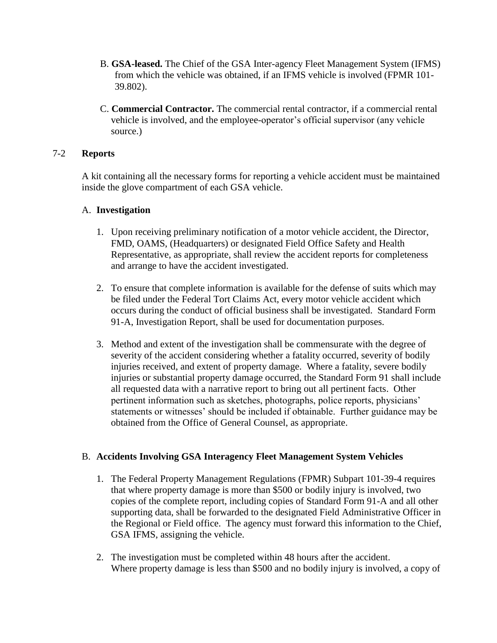- B. **GSA-leased.** The Chief of the GSA Inter-agency Fleet Management System (IFMS) from which the vehicle was obtained, if an IFMS vehicle is involved (FPMR 101- 39.802).
- C. **Commercial Contractor.** The commercial rental contractor, if a commercial rental vehicle is involved, and the employee-operator's official supervisor (any vehicle source.)

### 7-2 **Reports**

A kit containing all the necessary forms for reporting a vehicle accident must be maintained inside the glove compartment of each GSA vehicle.

### A. **Investigation**

- 1. Upon receiving preliminary notification of a motor vehicle accident, the Director, FMD, OAMS, (Headquarters) or designated Field Office Safety and Health Representative, as appropriate, shall review the accident reports for completeness and arrange to have the accident investigated.
- 2. To ensure that complete information is available for the defense of suits which may be filed under the Federal Tort Claims Act, every motor vehicle accident which occurs during the conduct of official business shall be investigated. Standard Form 91-A, Investigation Report, shall be used for documentation purposes.
- 3. Method and extent of the investigation shall be commensurate with the degree of severity of the accident considering whether a fatality occurred, severity of bodily injuries received, and extent of property damage. Where a fatality, severe bodily injuries or substantial property damage occurred, the Standard Form 91 shall include all requested data with a narrative report to bring out all pertinent facts. Other pertinent information such as sketches, photographs, police reports, physicians' statements or witnesses' should be included if obtainable. Further guidance may be obtained from the Office of General Counsel, as appropriate.

### B. **Accidents Involving GSA Interagency Fleet Management System Vehicles**

- 1. The Federal Property Management Regulations (FPMR) Subpart 101-39-4 requires that where property damage is more than \$500 or bodily injury is involved, two copies of the complete report, including copies of Standard Form 91-A and all other supporting data, shall be forwarded to the designated Field Administrative Officer in the Regional or Field office. The agency must forward this information to the Chief, GSA IFMS, assigning the vehicle.
- 2. The investigation must be completed within 48 hours after the accident. Where property damage is less than \$500 and no bodily injury is involved, a copy of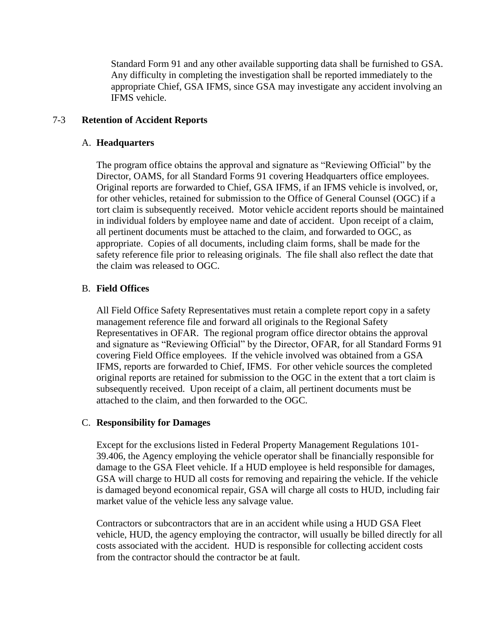Standard Form 91 and any other available supporting data shall be furnished to GSA. Any difficulty in completing the investigation shall be reported immediately to the appropriate Chief, GSA IFMS, since GSA may investigate any accident involving an IFMS vehicle.

### 7-3 **Retention of Accident Reports**

### A. **Headquarters**

The program office obtains the approval and signature as "Reviewing Official" by the Director, OAMS, for all Standard Forms 91 covering Headquarters office employees. Original reports are forwarded to Chief, GSA IFMS, if an IFMS vehicle is involved, or, for other vehicles, retained for submission to the Office of General Counsel (OGC) if a tort claim is subsequently received. Motor vehicle accident reports should be maintained in individual folders by employee name and date of accident. Upon receipt of a claim, all pertinent documents must be attached to the claim, and forwarded to OGC, as appropriate. Copies of all documents, including claim forms, shall be made for the safety reference file prior to releasing originals. The file shall also reflect the date that the claim was released to OGC.

### B. **Field Offices**

All Field Office Safety Representatives must retain a complete report copy in a safety management reference file and forward all originals to the Regional Safety Representatives in OFAR. The regional program office director obtains the approval and signature as "Reviewing Official" by the Director, OFAR, for all Standard Forms 91 covering Field Office employees. If the vehicle involved was obtained from a GSA IFMS, reports are forwarded to Chief, IFMS. For other vehicle sources the completed original reports are retained for submission to the OGC in the extent that a tort claim is subsequently received. Upon receipt of a claim, all pertinent documents must be attached to the claim, and then forwarded to the OGC.

### C. **Responsibility for Damages**

Except for the exclusions listed in Federal Property Management Regulations 101- 39.406, the Agency employing the vehicle operator shall be financially responsible for damage to the GSA Fleet vehicle. If a HUD employee is held responsible for damages, GSA will charge to HUD all costs for removing and repairing the vehicle. If the vehicle is damaged beyond economical repair, GSA will charge all costs to HUD, including fair market value of the vehicle less any salvage value.

Contractors or subcontractors that are in an accident while using a HUD GSA Fleet vehicle, HUD, the agency employing the contractor, will usually be billed directly for all costs associated with the accident. HUD is responsible for collecting accident costs from the contractor should the contractor be at fault.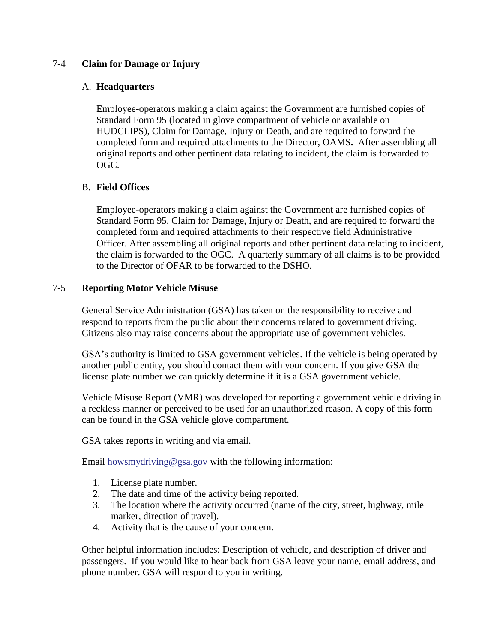### 7-4 **Claim for Damage or Injury**

### A. **Headquarters**

Employee-operators making a claim against the Government are furnished copies of Standard Form 95 (located in glove compartment of vehicle or available on HUDCLIPS), Claim for Damage, Injury or Death, and are required to forward the completed form and required attachments to the Director, OAMS**.** After assembling all original reports and other pertinent data relating to incident, the claim is forwarded to OGC.

### B. **Field Offices**

Employee-operators making a claim against the Government are furnished copies of Standard Form 95, Claim for Damage, Injury or Death, and are required to forward the completed form and required attachments to their respective field Administrative Officer. After assembling all original reports and other pertinent data relating to incident, the claim is forwarded to the OGC. A quarterly summary of all claims is to be provided to the Director of OFAR to be forwarded to the DSHO.

### 7-5 **Reporting Motor Vehicle Misuse**

General Service Administration (GSA) has taken on the responsibility to receive and respond to reports from the public about their concerns related to government driving. Citizens also may raise concerns about the appropriate use of government vehicles.

GSA's authority is limited to GSA government vehicles. If the vehicle is being operated by another public entity, you should contact them with your concern. If you give GSA the license plate number we can quickly determine if it is a GSA government vehicle.

Vehicle Misuse Report (VMR) was developed for reporting a government vehicle driving in a reckless manner or perceived to be used for an unauthorized reason. A copy of this form can be found in the GSA vehicle glove compartment.

GSA takes reports in writing and via email.

Email howsmydriving  $\omega$  gsa.gov with the following information:

- 1. License plate number.
- 2. The date and time of the activity being reported.
- 3. The location where the activity occurred (name of the city, street, highway, mile marker, direction of travel).
- 4. Activity that is the cause of your concern.

Other helpful information includes: Description of vehicle, and description of driver and passengers. If you would like to hear back from GSA leave your name, email address, and phone number. GSA will respond to you in writing.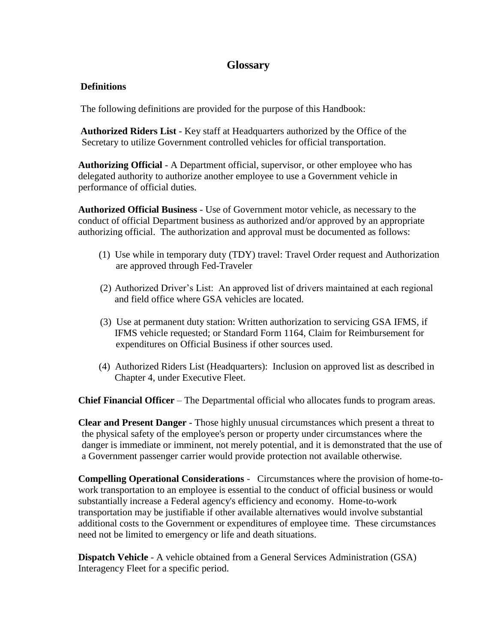### **Glossary**

### <span id="page-26-0"></span>**Definitions**

The following definitions are provided for the purpose of this Handbook:

**Authorized Riders List** - Key staff at Headquarters authorized by the Office of the Secretary to utilize Government controlled vehicles for official transportation.

**Authorizing Official** - A Department official, supervisor, or other employee who has delegated authority to authorize another employee to use a Government vehicle in performance of official duties.

**Authorized Official Business** - Use of Government motor vehicle, as necessary to the conduct of official Department business as authorized and/or approved by an appropriate authorizing official. The authorization and approval must be documented as follows:

- (1) Use while in temporary duty (TDY) travel: Travel Order request and Authorization are approved through Fed-Traveler
- (2) Authorized Driver's List: An approved list of drivers maintained at each regional and field office where GSA vehicles are located.
- (3) Use at permanent duty station: Written authorization to servicing GSA IFMS, if IFMS vehicle requested; or Standard Form 1164, Claim for Reimbursement for expenditures on Official Business if other sources used.
- (4) Authorized Riders List (Headquarters): Inclusion on approved list as described in Chapter 4, under Executive Fleet.

**Chief Financial Officer** – The Departmental official who allocates funds to program areas.

**Clear and Present Danger** - Those highly unusual circumstances which present a threat to the physical safety of the employee's person or property under circumstances where the danger is immediate or imminent, not merely potential, and it is demonstrated that the use of a Government passenger carrier would provide protection not available otherwise.

**Compelling Operational Considerations** - Circumstances where the provision of home-towork transportation to an employee is essential to the conduct of official business or would substantially increase a Federal agency's efficiency and economy. Home-to-work transportation may be justifiable if other available alternatives would involve substantial additional costs to the Government or expenditures of employee time. These circumstances need not be limited to emergency or life and death situations.

**Dispatch Vehicle** - A vehicle obtained from a General Services Administration (GSA) Interagency Fleet for a specific period.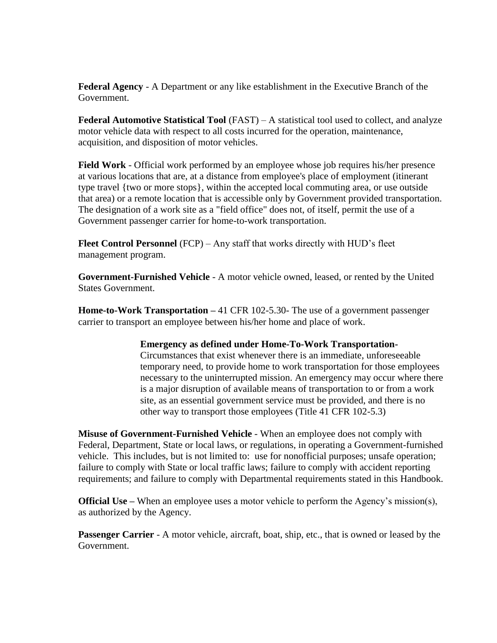**Federal Agency** - A Department or any like establishment in the Executive Branch of the Government.

**Federal Automotive Statistical Tool** (FAST) – A statistical tool used to collect, and analyze motor vehicle data with respect to all costs incurred for the operation, maintenance, acquisition, and disposition of motor vehicles.

**Field Work** - Official work performed by an employee whose job requires his/her presence at various locations that are, at a distance from employee's place of employment (itinerant type travel {two or more stops}, within the accepted local commuting area, or use outside that area) or a remote location that is accessible only by Government provided transportation. The designation of a work site as a "field office" does not, of itself, permit the use of a Government passenger carrier for home-to-work transportation.

**Fleet Control Personnel** (FCP) – Any staff that works directly with HUD's fleet management program.

**Government-Furnished Vehicle** - A motor vehicle owned, leased, or rented by the United States Government.

**Home-to-Work Transportation –** 41 CFR 102-5.30- The use of a government passenger carrier to transport an employee between his/her home and place of work.

#### **Emergency as defined under Home-To-Work Transportation-**

Circumstances that exist whenever there is an immediate, unforeseeable temporary need, to provide home to work transportation for those employees necessary to the uninterrupted mission. An emergency may occur where there is a major disruption of available means of transportation to or from a work site, as an essential government service must be provided, and there is no other way to transport those employees (Title 41 CFR 102-5.3)

**Misuse of Government-Furnished Vehicle** - When an employee does not comply with Federal, Department, State or local laws, or regulations, in operating a Government-furnished vehicle. This includes, but is not limited to: use for nonofficial purposes; unsafe operation; failure to comply with State or local traffic laws; failure to comply with accident reporting requirements; and failure to comply with Departmental requirements stated in this Handbook.

**Official Use** – When an employee uses a motor vehicle to perform the Agency's mission(s), as authorized by the Agency.

**Passenger Carrier** - A motor vehicle, aircraft, boat, ship, etc., that is owned or leased by the Government.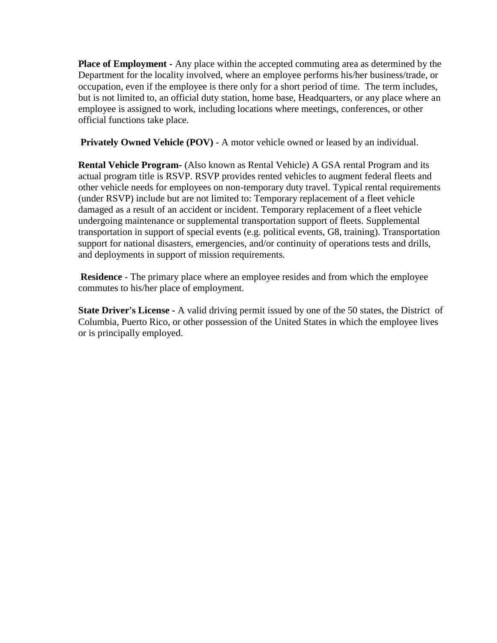**Place of Employment -** Any place within the accepted commuting area as determined by the Department for the locality involved, where an employee performs his/her business/trade, or occupation, even if the employee is there only for a short period of time. The term includes, but is not limited to, an official duty station, home base, Headquarters, or any place where an employee is assigned to work, including locations where meetings, conferences, or other official functions take place.

**Privately Owned Vehicle (POV)** - A motor vehicle owned or leased by an individual.

**Rental Vehicle Program-** (Also known as Rental Vehicle) A GSA rental Program and its actual program title is RSVP. RSVP provides rented vehicles to augment federal fleets and other vehicle needs for employees on non-temporary duty travel. Typical rental requirements (under RSVP) include but are not limited to: Temporary replacement of a fleet vehicle damaged as a result of an accident or incident. Temporary replacement of a fleet vehicle undergoing maintenance or supplemental transportation support of fleets. Supplemental transportation in support of special events (e.g. political events, G8, training). Transportation support for national disasters, emergencies, and/or continuity of operations tests and drills, and deployments in support of mission requirements.

**Residence** - The primary place where an employee resides and from which the employee commutes to his/her place of employment.

**State Driver's License -** A valid driving permit issued by one of the 50 states, the District of Columbia, Puerto Rico, or other possession of the United States in which the employee lives or is principally employed.